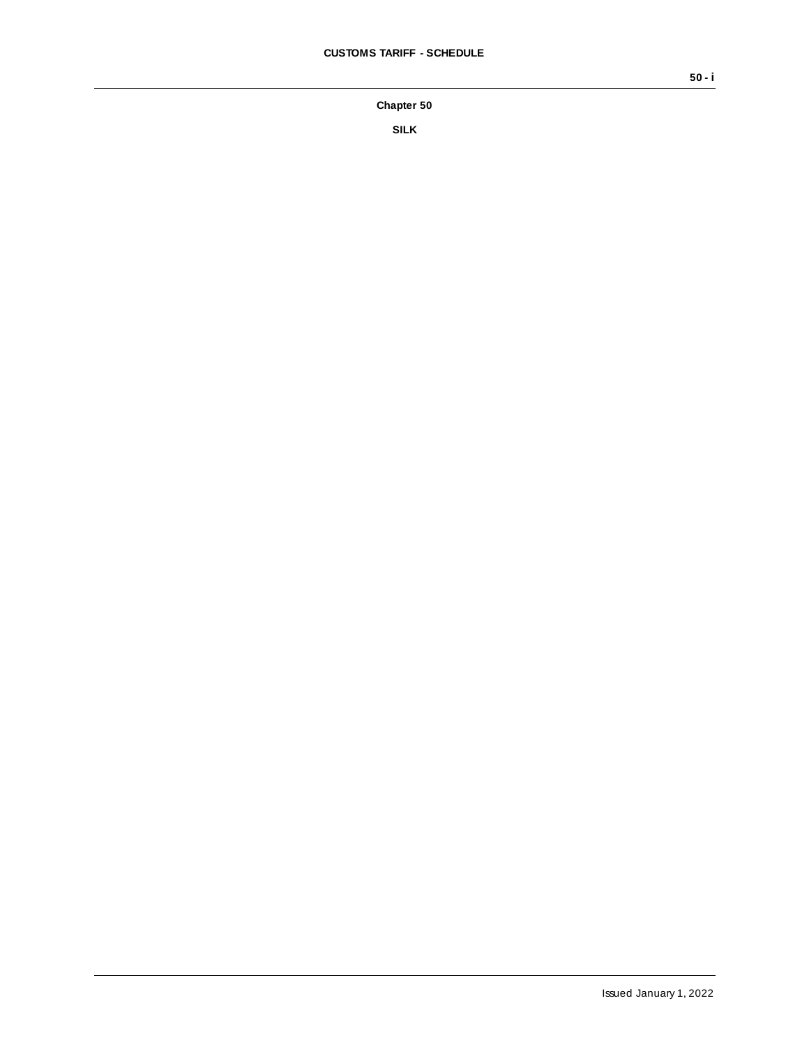**Chapter 50**

**SILK**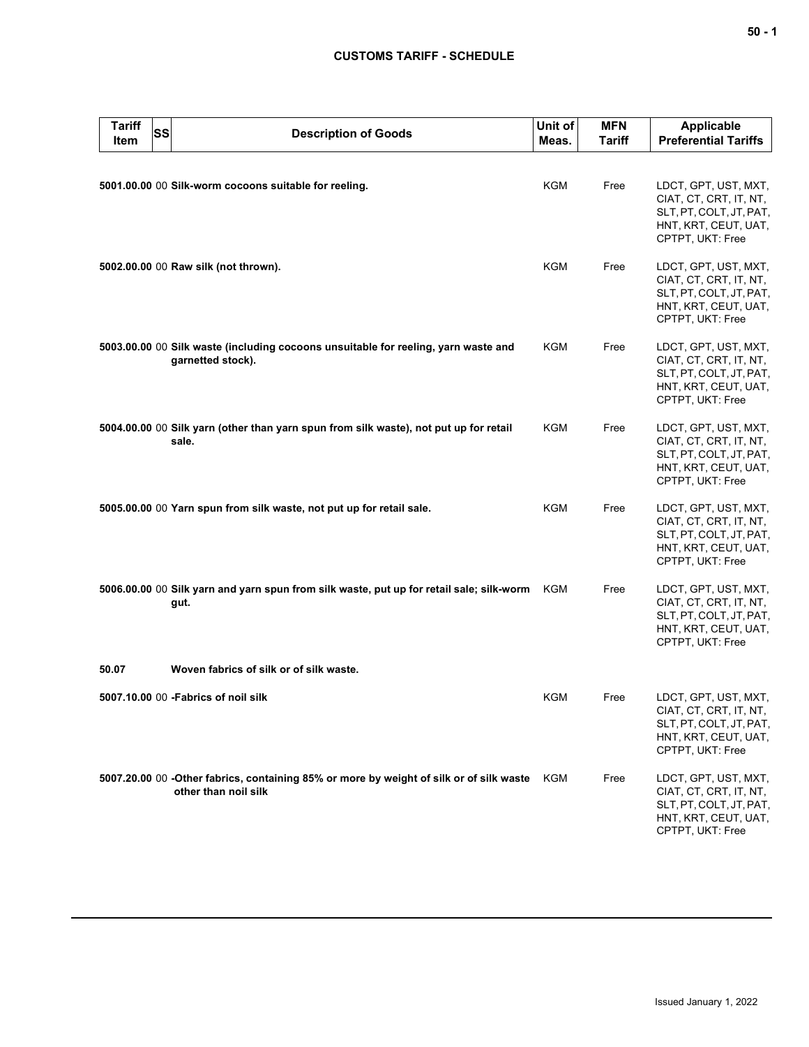## **CUSTOMS TARIFF - SCHEDULE**

| <b>Tariff</b><br>Item | SS | <b>Description of Goods</b>                                                                                     | Unit of<br>Meas. | <b>MFN</b><br><b>Tariff</b> | <b>Applicable</b><br><b>Preferential Tariffs</b>                                                                      |
|-----------------------|----|-----------------------------------------------------------------------------------------------------------------|------------------|-----------------------------|-----------------------------------------------------------------------------------------------------------------------|
|                       |    | 5001.00.00 00 Silk-worm cocoons suitable for reeling.                                                           | <b>KGM</b>       | Free                        | LDCT, GPT, UST, MXT,<br>CIAT, CT, CRT, IT, NT,<br>SLT, PT, COLT, JT, PAT,<br>HNT, KRT, CEUT, UAT,<br>CPTPT, UKT: Free |
|                       |    | 5002.00.00 00 Raw silk (not thrown).                                                                            | KGM              | Free                        | LDCT, GPT, UST, MXT,<br>CIAT, CT, CRT, IT, NT,<br>SLT, PT, COLT, JT, PAT,<br>HNT, KRT, CEUT, UAT,<br>CPTPT, UKT: Free |
|                       |    | 5003.00.00 00 Silk waste (including cocoons unsuitable for reeling, yarn waste and<br>garnetted stock).         | KGM              | Free                        | LDCT, GPT, UST, MXT,<br>CIAT, CT, CRT, IT, NT,<br>SLT, PT, COLT, JT, PAT,<br>HNT, KRT, CEUT, UAT,<br>CPTPT, UKT: Free |
|                       |    | 5004.00.00 00 Silk yarn (other than yarn spun from silk waste), not put up for retail<br>sale.                  | KGM              | Free                        | LDCT, GPT, UST, MXT,<br>CIAT, CT, CRT, IT, NT,<br>SLT, PT, COLT, JT, PAT,<br>HNT, KRT, CEUT, UAT,<br>CPTPT, UKT: Free |
|                       |    | 5005.00.00 00 Yarn spun from silk waste, not put up for retail sale.                                            | <b>KGM</b>       | Free                        | LDCT, GPT, UST, MXT,<br>CIAT, CT, CRT, IT, NT,<br>SLT, PT, COLT, JT, PAT,<br>HNT, KRT, CEUT, UAT,<br>CPTPT, UKT: Free |
|                       |    | 5006.00.00 00 Silk yarn and yarn spun from silk waste, put up for retail sale; silk-worm<br>gut.                | KGM              | Free                        | LDCT, GPT, UST, MXT,<br>CIAT, CT, CRT, IT, NT,<br>SLT, PT, COLT, JT, PAT,<br>HNT, KRT, CEUT, UAT,<br>CPTPT, UKT: Free |
| 50.07                 |    | Woven fabrics of silk or of silk waste.                                                                         |                  |                             |                                                                                                                       |
|                       |    | 5007.10.00 00 - Fabrics of noil silk                                                                            | KGM              | Free                        | LDCT, GPT, UST, MXT,<br>CIAT, CT, CRT, IT, NT,<br>SLT, PT, COLT, JT, PAT,<br>HNT, KRT, CEUT, UAT,<br>CPTPT, UKT: Free |
|                       |    | 5007.20.00 00 -Other fabrics, containing 85% or more by weight of silk or of silk waste<br>other than noil silk | KGM              | Free                        | LDCT, GPT, UST, MXT,<br>CIAT, CT, CRT, IT, NT,<br>SLT, PT, COLT, JT, PAT,<br>HNT, KRT, CEUT, UAT,<br>CPTPT, UKT: Free |